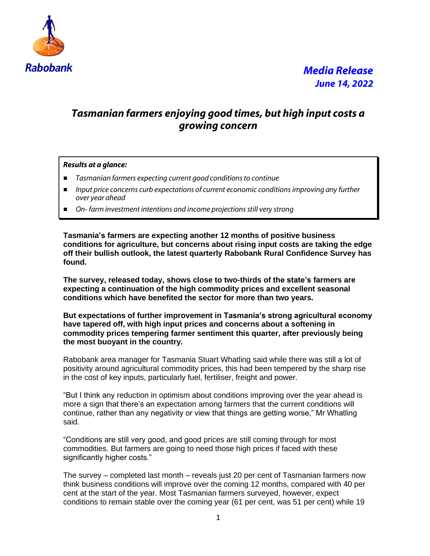

### *Tasmanian farmers enjoying good times, but high input costs a growing concern*

### *Results at a glance:*

- *Tasmanian farmers expecting current good conditions to continue*
- *Input price concerns curb expectations of current economic conditions improving any further over year ahead*
- On-*farm investment intentions and income projections still very strong*

**Tasmania's farmers are expecting another 12 months of positive business conditions for agriculture, but concerns about rising input costs are taking the edge off their bullish outlook, the latest quarterly Rabobank Rural Confidence Survey has found.**

**The survey, released today, shows close to two-thirds of the state's farmers are expecting a continuation of the high commodity prices and excellent seasonal conditions which have benefited the sector for more than two years.**

**But expectations of further improvement in Tasmania's strong agricultural economy have tapered off, with high input prices and concerns about a softening in commodity prices tempering farmer sentiment this quarter, after previously being the most buoyant in the country.**

Rabobank area manager for Tasmania Stuart Whatling said while there was still a lot of positivity around agricultural commodity prices, this had been tempered by the sharp rise in the cost of key inputs, particularly fuel, fertiliser, freight and power.

"But I think any reduction in optimism about conditions improving over the year ahead is more a sign that there's an expectation among farmers that the current conditions will continue, rather than any negativity or view that things are getting worse," Mr Whatling said.

"Conditions are still very good, and good prices are still coming through for most commodities. But farmers are going to need those high prices if faced with these significantly higher costs."

The survey – completed last month – reveals just 20 per cent of Tasmanian farmers now think business conditions will improve over the coming 12 months, compared with 40 per cent at the start of the year. Most Tasmanian farmers surveyed, however, expect conditions to remain stable over the coming year (61 per cent, was 51 per cent) while 19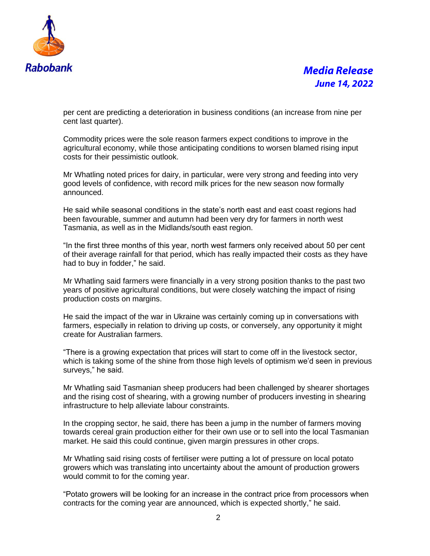

# *Media Release June 14, 2022*

per cent are predicting a deterioration in business conditions (an increase from nine per cent last quarter).

Commodity prices were the sole reason farmers expect conditions to improve in the agricultural economy, while those anticipating conditions to worsen blamed rising input costs for their pessimistic outlook.

Mr Whatling noted prices for dairy, in particular, were very strong and feeding into very good levels of confidence, with record milk prices for the new season now formally announced.

He said while seasonal conditions in the state's north east and east coast regions had been favourable, summer and autumn had been very dry for farmers in north west Tasmania, as well as in the Midlands/south east region.

"In the first three months of this year, north west farmers only received about 50 per cent of their average rainfall for that period, which has really impacted their costs as they have had to buy in fodder," he said.

Mr Whatling said farmers were financially in a very strong position thanks to the past two years of positive agricultural conditions, but were closely watching the impact of rising production costs on margins.

He said the impact of the war in Ukraine was certainly coming up in conversations with farmers, especially in relation to driving up costs, or conversely, any opportunity it might create for Australian farmers.

"There is a growing expectation that prices will start to come off in the livestock sector, which is taking some of the shine from those high levels of optimism we'd seen in previous surveys," he said.

Mr Whatling said Tasmanian sheep producers had been challenged by shearer shortages and the rising cost of shearing, with a growing number of producers investing in shearing infrastructure to help alleviate labour constraints.

In the cropping sector, he said, there has been a jump in the number of farmers moving towards cereal grain production either for their own use or to sell into the local Tasmanian market. He said this could continue, given margin pressures in other crops.

Mr Whatling said rising costs of fertiliser were putting a lot of pressure on local potato growers which was translating into uncertainty about the amount of production growers would commit to for the coming year.

"Potato growers will be looking for an increase in the contract price from processors when contracts for the coming year are announced, which is expected shortly," he said.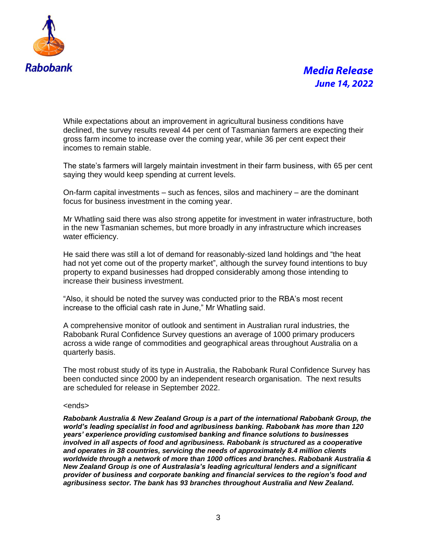

# *Media Release June 14, 2022*

While expectations about an improvement in agricultural business conditions have declined, the survey results reveal 44 per cent of Tasmanian farmers are expecting their gross farm income to increase over the coming year, while 36 per cent expect their incomes to remain stable.

The state's farmers will largely maintain investment in their farm business, with 65 per cent saying they would keep spending at current levels.

On-farm capital investments – such as fences, silos and machinery – are the dominant focus for business investment in the coming year.

Mr Whatling said there was also strong appetite for investment in water infrastructure, both in the new Tasmanian schemes, but more broadly in any infrastructure which increases water efficiency.

He said there was still a lot of demand for reasonably-sized land holdings and "the heat had not yet come out of the property market", although the survey found intentions to buy property to expand businesses had dropped considerably among those intending to increase their business investment.

"Also, it should be noted the survey was conducted prior to the RBA's most recent increase to the official cash rate in June," Mr Whatling said.

A comprehensive monitor of outlook and sentiment in Australian rural industries, the Rabobank Rural Confidence Survey questions an average of 1000 primary producers across a wide range of commodities and geographical areas throughout Australia on a quarterly basis.

The most robust study of its type in Australia, the Rabobank Rural Confidence Survey has been conducted since 2000 by an independent research organisation. The next results are scheduled for release in September 2022.

#### <ends>

*Rabobank Australia & New Zealand Group is a part of the international Rabobank Group, the world's leading specialist in food and agribusiness banking. Rabobank has more than 120 years' experience providing customised banking and finance solutions to businesses involved in all aspects of food and agribusiness. Rabobank is structured as a cooperative and operates in 38 countries, servicing the needs of approximately 8.4 million clients worldwide through a network of more than 1000 offices and branches. Rabobank Australia & New Zealand Group is one of Australasia's leading agricultural lenders and a significant provider of business and corporate banking and financial services to the region's food and agribusiness sector. The bank has 93 branches throughout Australia and New Zealand.*